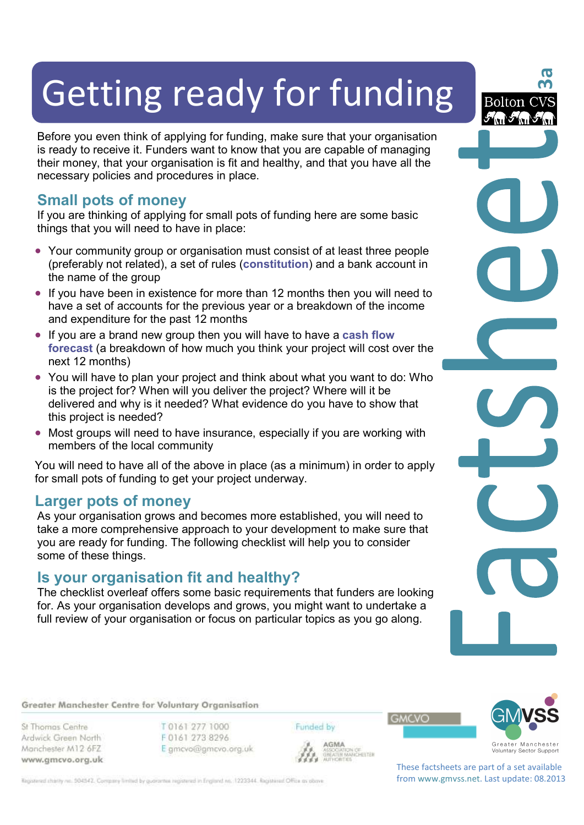# Getting ready for funding

Before you even think of applying for funding, make sure that your organisation is ready to receive it. Funders want to know that you are capable of managing their money, that your organisation is fit and healthy, and that you have all the necessary policies and procedures in place.

## **Small pots of money**

If you are thinking of applying for small pots of funding here are some basic things that you will need to have in place:

- Your community group or organisation must consist of at least three people (preferably not related), a set of rules (**constitution**) and a bank account in the name of the group
- If you have been in existence for more than 12 months then you will need to have a set of accounts for the previous year or a breakdown of the income and expenditure for the past 12 months
- If you are a brand new group then you will have to have a **cash flow forecast** (a breakdown of how much you think your project will cost over the next 12 months)
- You will have to plan your project and think about what you want to do: Who is the project for? When will you deliver the project? Where will it be delivered and why is it needed? What evidence do you have to show that this project is needed?
- Most groups will need to have insurance, especially if you are working with members of the local community

You will need to have all of the above in place (as a minimum) in order to apply for small pots of funding to get your project underway.

### **Larger pots of money**

As your organisation grows and becomes more established, you will need to take a more comprehensive approach to your development to make sure that you are ready for funding. The following checklist will help you to consider some of these things.

## **Is your organisation fit and healthy?**

The checklist overleaf offers some basic requirements that funders are looking for. As your organisation develops and grows, you might want to undertake a full review of your organisation or focus on particular topics as you go along.

Greater Manchester Centre for Voluntary Organisation

St Thomas Centre Ardwick Green North Manchester M12 6FZ www.gmcvo.org.uk T0161 277 1000 F0161 273 8296 E gmcvo@gmcvo.org.uk Funded by

AGMA **AGMA**<br>ASSOCIATION OF<br>GREATER MANCHESTER<br>AUTHORITIES



Greater Manchester<br>Voluntary Sector Support

**3a**

Bolton C

These factsheets are part of a set available from www.gmvss.net. Last update: 08.2013

**GMCVO** 

Registered charity no. 504542. Company limited by guarantee registered in England no. 1223344. Registered Office as obove